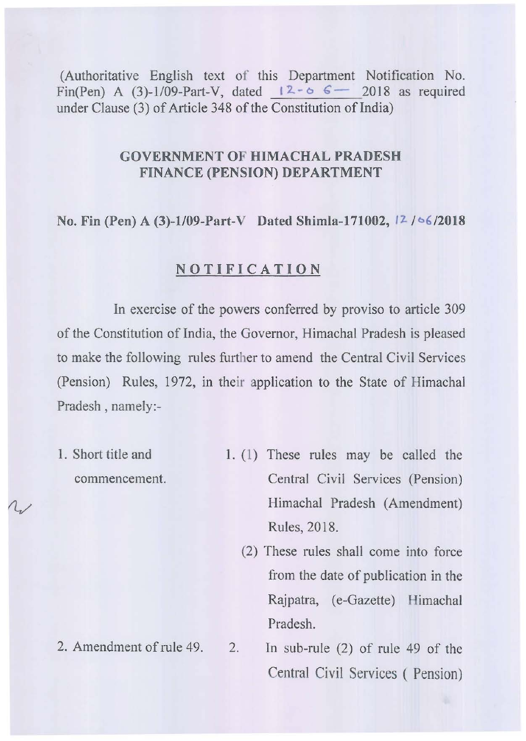(Authoritative English text of this Department Notification No. Fin(Pen) A (3)-1/09-Part-V, dated  $12 - 6$   $\epsilon$  - 2018 as required under Clause (3) of Article 348 of the Constitution of India)

# GOVERNMENT **OF HIMACHAL PRADESH**  FINANCE (PENSION) **DEPARTMENT**

No. Fin (Pen) A (3)-1/09-Part-V Dated Shimla-171002,  $12 / 66 / 2018$ 

### **NOTIFICATION**

In exercise of the powers conferred by proviso to article 309 of the Constitution of India, the Governor, Himachal Pradesh is pleased to make the following rules further to amend the Central Civil Services (Pension) Rules, 1972, in their application to the State of Himachal Pradesh, namely:-

- 1. Short title and commencement.
- 1. (I) These rules may be called the Central Civil Services (Pension) Himachal Pradesh (Amendment) Rules, 2018.
	- (2) These rules shall come into force from the date of publication in the Rajpatra, (e-Gazette) Himachal Pradesh.
- 2. Amendment of rule 49. 2. In sub-rule (2) of rule 49 of the Central Civil Services ( Pension)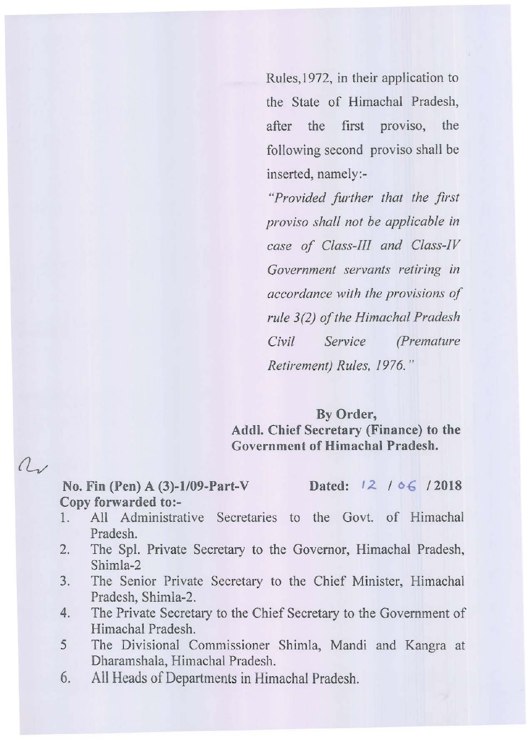Rules, 1972, in their application to the State of Himachal Pradesh, after the first proviso, the following second proviso shall be inserted, namely:-

*"Provided further that the first proviso shall not be applicable in case of Class-J[I and Class-IV Government servants retiring in accordance with the provisions of rule* 3(2) *of the Himachal Pradesh Civil Service (Premature Retirement) Rules, 1976. "* 

## By Order,

Add!. Chief Secretary (Finance) to the Government of Himachal Pradesh.

No. Fin (Pen) A (3)-1/09-Part-V Dated:  $12 / 06 / 2018$ Copy forwarded to:-

 $a$ 

- 1. All Administrative Secretaries to the Govt. of Himachal Pradesh.
- 2. The Spl. Private Secretary to the Governor, Himachal Pradesh, Shimla-2
- 3. The Senior Private Secretary to the Chief Minister, Himachal Pradesh, Shimla-2.
- 4. The Private Secretary to the Chief Secretary to the Government of Himachal Pradesh.
- 5 The Divisional Commissioner Shimla, Mandi and Kangra at Dharamshala, Himachal Pradesh.
- 6. All Heads of Departments in Himachal Pradesh.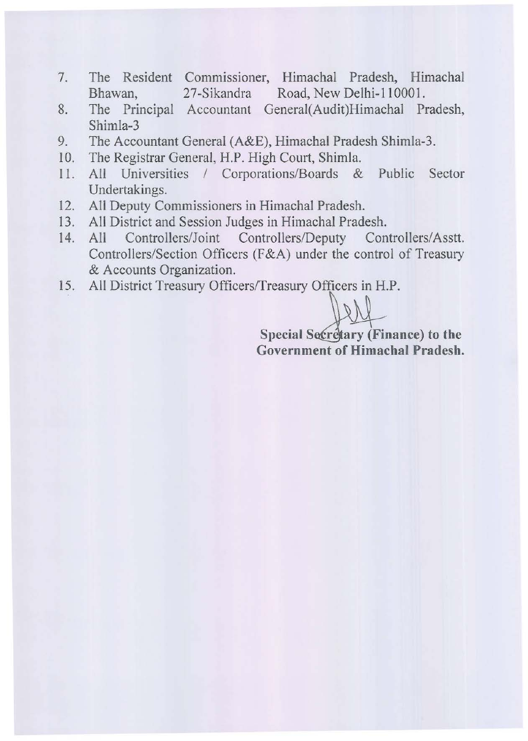- 7. The Resident Commissioner, Himachal Pradesh, Himachal Bhawan, 27-Sikandra Road, New Delhi-I 10001.
- 8. The Principal Accountant General(Audit)Himachal Pradesh, Shimla-3
- 9. The Accountant General (A&E), Himachal Pradesh Shimla-3.
- 10. The Registrar General, H.P. High Court, Shimla.
- II. All Universities / Corporations/Boards & Public Sector Undertakings.
- 12. All Deputy Commissioners in Himachal Pradesh.
- 13. All District and Session Judges in Himachal Pradesh.
- 14. All Controllers/Joint Controllers/Deputy Controllers/Asstt. Controllers/Section Officers (F&A) under the control of Treasury & Accounts Organization.
- 15. All District Treasury Officers/Treasury Officers in H.P.

Special Secretary (Finance) to the Government of Himachal Pradesh.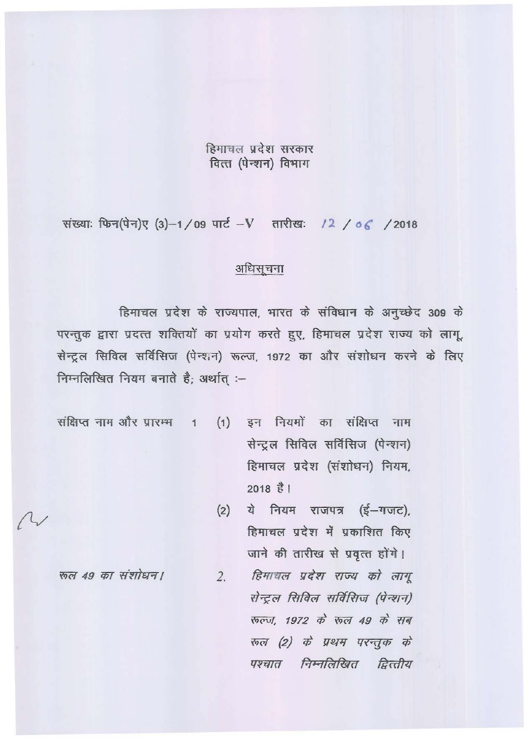### हिमाचल प्रदेश सरकार वित्त (पेन्शन) विभाग

संख्याः फिन(पेन)ए (3)-1/09 पार्ट-V तारीखः /2/06/2018

#### अधिसूचना

हिमाचल प्रदेश के राज्यपाल, भारत के संविधान के अनुच्छेद 309 के परन्तुक द्वारा प्रदत्त शक्तियों का प्रयोग करते हुए, हिमाचल प्रदेश राज्य को लागू, सेन्ट्रल सिविल सर्विसिज (पेन्शन) रूल्ज, 1972 का और संशोधन करने के लिए निम्नलिखित नियम बनाते है: अर्थात :-

संक्षिप्त नाम और प्रारम्भ  $\overline{1}$ 

- (1) इन नियमों का संक्षिप्त नाम सेन्ट्रल सिविल सर्विसिज (पेन्शन) हिमाचल प्रदेश (संशोधन) नियम,  $2018$  $\frac{2}{5}$ <sub>1</sub>
- ये नियम राजपत्र (ई-गजट),  $(2)$ हिमाचल प्रदेश में प्रकाशित किए जाने की तारीख से प्रवृत्त होंगे।

रूल 49 का संशोधन।

हिमाचल प्रदेश राज्य को लागू  $2.$ सेन्ट्रल सिविल सर्विसिज (पेन्शन) रुल्ज, 1972 के रुल 49 के सब रुल (2) के प्रथम परन्तुक के पश्चात निम्नलिखित द्वित्तीय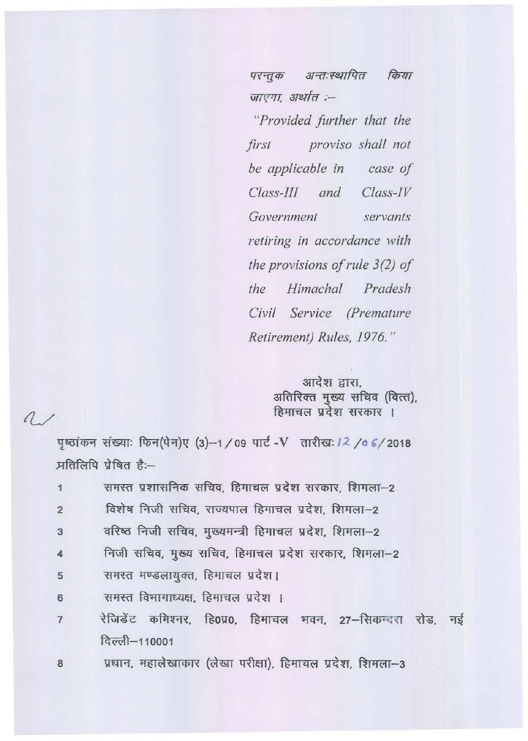परन्तुक अन्तःस्थापित किया जाएगा, अर्थात :-

"Provided further that the proviso shall not first be applicable in case of  $Class$ -III and  $Class$ -IV Government servants retiring in accordance with the provisions of rule  $3(2)$  of the Himachal Pradesh Civil Service (Premature Retirement) Rules, 1976."

> आदेश द्वारा, अतिरिक्त मुख्य सचिव (वित्त), हिमाचल प्रदेश सरकार ।

# $\Lambda$

पृष्ठांकन संख्याः फिन(पेन)ए (3)-1/09 पार्ट-V तारीख: /2/06/2018 प्रतिलिपि प्रेषित है:-

| $\mathbf{1}$    | समस्त प्रशासनिक सचिव, हिमाचल प्रदेश सरकार, शिमला—2                                                                                                                                                              |
|-----------------|-----------------------------------------------------------------------------------------------------------------------------------------------------------------------------------------------------------------|
| $\overline{2}$  | विशेष निजी सचिव, राज्यपाल हिमाचल प्रदेश, शिमला-2                                                                                                                                                                |
| $\overline{3}$  | वरिष्ठ निजी सचिव, मुख्यमन्त्री हिमाचल प्रदेश, शिमला-2                                                                                                                                                           |
| $\overline{4}$  | निजी सचिव, मुख्य सचिव, हिमाचल प्रदेश सरकार, शिमला–2                                                                                                                                                             |
| $5\phantom{.0}$ | समस्त मण्डलायुक्त, हिमाचल प्रदेश।                                                                                                                                                                               |
| $6\phantom{a}$  | समस्त विभागाध्यक्ष, हिमाचल प्रदेश ।                                                                                                                                                                             |
| $\overline{I}$  | रेजिडेंट कमिश्नर, हि0प्र0, हिमाचल भवन, 27-सिकन्दरा रोड, नई                                                                                                                                                      |
|                 | दिल्ली-110001                                                                                                                                                                                                   |
| $\sim$          | $m_{\text{max}}$ $m_{\text{max}}$ $\rightarrow m_{\text{max}}$ $\rightarrow m_{\text{max}}$ $\rightarrow m_{\text{max}}$ $\rightarrow m_{\text{max}}$ $\rightarrow m_{\text{max}}$ $\rightarrow m_{\text{max}}$ |

प्रधान, महालेखाकार (लेखा परीक्षा), हिमाचल प्रदेश, शिमला–3 8